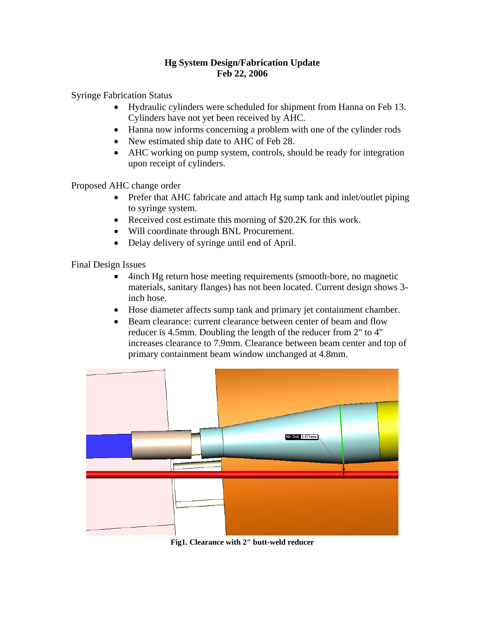## **Hg System Design/Fabrication Update Feb 22, 2006**

Syringe Fabrication Status

- Hydraulic cylinders were scheduled for shipment from Hanna on Feb 13. Cylinders have not yet been received by AHC.
- Hanna now informs concerning a problem with one of the cylinder rods
- New estimated ship date to AHC of Feb 28.
- AHC working on pump system, controls, should be ready for integration upon receipt of cylinders.

Proposed AHC change order

- Prefer that AHC fabricate and attach Hg sump tank and inlet/outlet piping to syringe system.
- Received cost estimate this morning of \$20.2K for this work.
- Will coordinate through BNL Procurement.
- Delay delivery of syringe until end of April.

Final Design Issues

- 4inch Hg return hose meeting requirements (smooth-bore, no magnetic materials, sanitary flanges) has not been located. Current design shows 3 inch hose.
- Hose diameter affects sump tank and primary jet containment chamber.
- Beam clearance: current clearance between center of beam and flow reducer is 4.5mm. Doubling the length of the reducer from 2" to 4" increases clearance to 7.9mm. Clearance between beam center and top of primary containment beam window unchanged at 4.8mm.



**Fig1. Clearance with 2" butt-weld reducer**